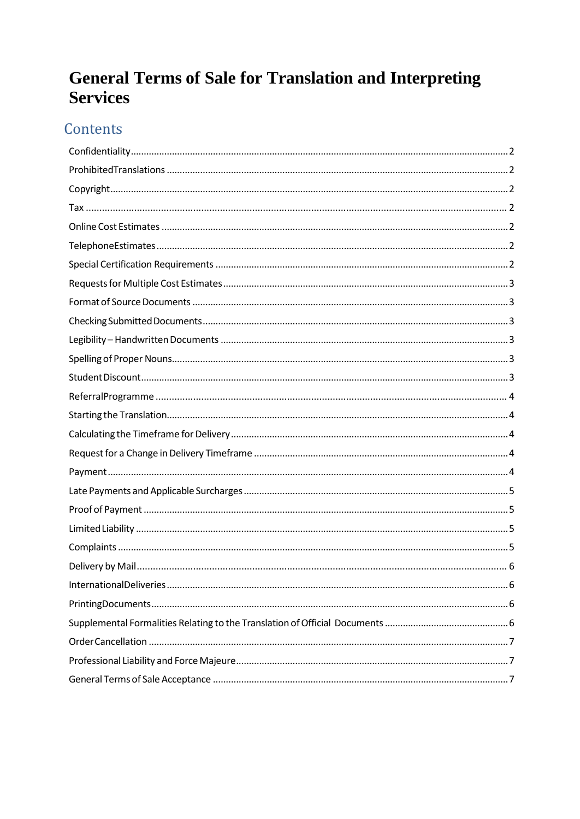# **General Terms of Sale for Translation and Interpreting Services**

# Contents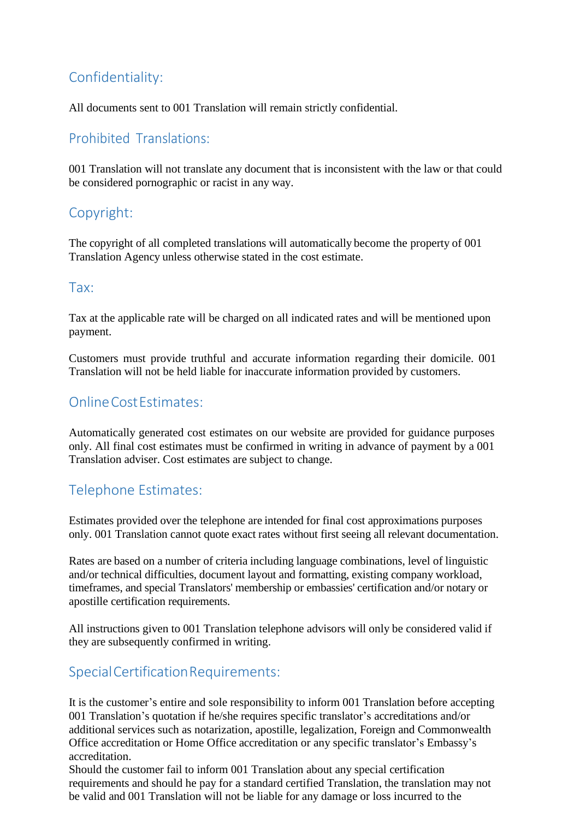# <span id="page-1-0"></span>Confidentiality:

All documents sent to 001 Translation will remain strictly confidential.

#### <span id="page-1-1"></span>Prohibited Translations:

001 Translation will not translate any document that is inconsistent with the law or that could be considered pornographic or racist in any way.

## <span id="page-1-2"></span>Copyright:

The copyright of all completed translations will automatically become the property of 001 Translation Agency unless otherwise stated in the cost estimate.

#### <span id="page-1-3"></span>Tax:

Tax at the applicable rate will be charged on all indicated rates and will be mentioned upon payment.

Customers must provide truthful and accurate information regarding their domicile. 001 Translation will not be held liable for inaccurate information provided by customers.

# <span id="page-1-4"></span>OnlineCostEstimates:

Automatically generated cost estimates on our website are provided for guidance purposes only. All final cost estimates must be confirmed in writing in advance of payment by a 001 Translation adviser. Cost estimates are subject to change.

## <span id="page-1-5"></span>Telephone Estimates:

Estimates provided over the telephone are intended for final cost approximations purposes only. 001 Translation cannot quote exact rates without first seeing all relevant documentation.

Rates are based on a number of criteria including language combinations, level of linguistic and/or technical difficulties, document layout and formatting, existing company workload, timeframes, and special Translators' membership or embassies' certification and/or notary or apostille certification requirements.

All instructions given to 001 Translation telephone advisors will only be considered valid if they are subsequently confirmed in writing.

## <span id="page-1-6"></span>SpecialCertificationRequirements:

It is the customer's entire and sole responsibility to inform 001 Translation before accepting 001 Translation's quotation if he/she requires specific translator's accreditations and/or additional services such as notarization, apostille, legalization, Foreign and Commonwealth Office accreditation or Home Office accreditation or any specific translator's Embassy's accreditation.

Should the customer fail to inform 001 Translation about any special certification requirements and should he pay for a standard certified Translation, the translation may not be valid and 001 Translation will not be liable for any damage or loss incurred to the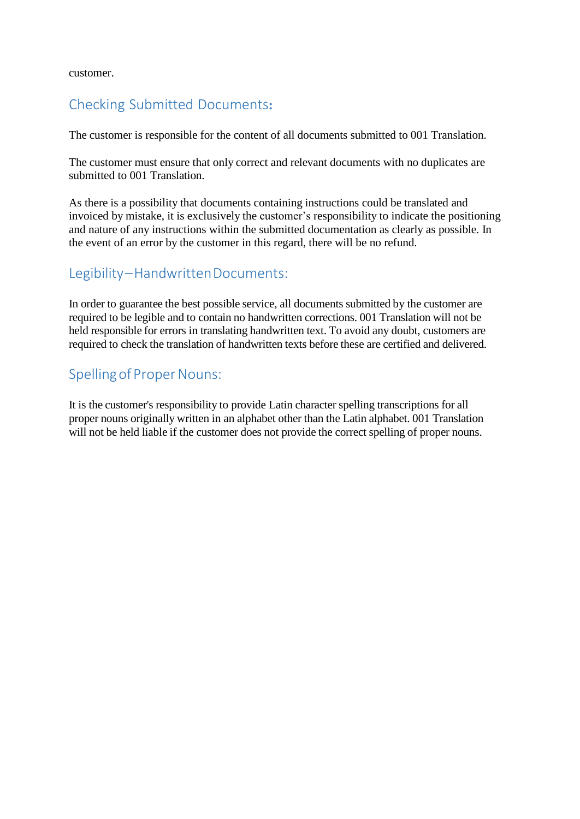customer.

#### <span id="page-2-0"></span>Checking Submitted Documents**:**

The customer is responsible for the content of all documents submitted to 001 Translation.

The customer must ensure that only correct and relevant documents with no duplicates are submitted to 001 Translation.

As there is a possibility that documents containing instructions could be translated and invoiced by mistake, it is exclusively the customer's responsibility to indicate the positioning and nature of any instructions within the submitted documentation as clearly as possible. In the event of an error by the customer in this regard, there will be no refund.

#### <span id="page-2-1"></span>Legibility–HandwrittenDocuments:

In order to guarantee the best possible service, all documents submitted by the customer are required to be legible and to contain no handwritten corrections. 001 Translation will not be held responsible for errors in translating handwritten text. To avoid any doubt, customers are required to check the translation of handwritten texts before these are certified and delivered.

## <span id="page-2-2"></span>Spelling of Proper Nouns:

It is the customer's responsibility to provide Latin character spelling transcriptions for all proper nouns originally written in an alphabet other than the Latin alphabet. 001 Translation will not be held liable if the customer does not provide the correct spelling of proper nouns.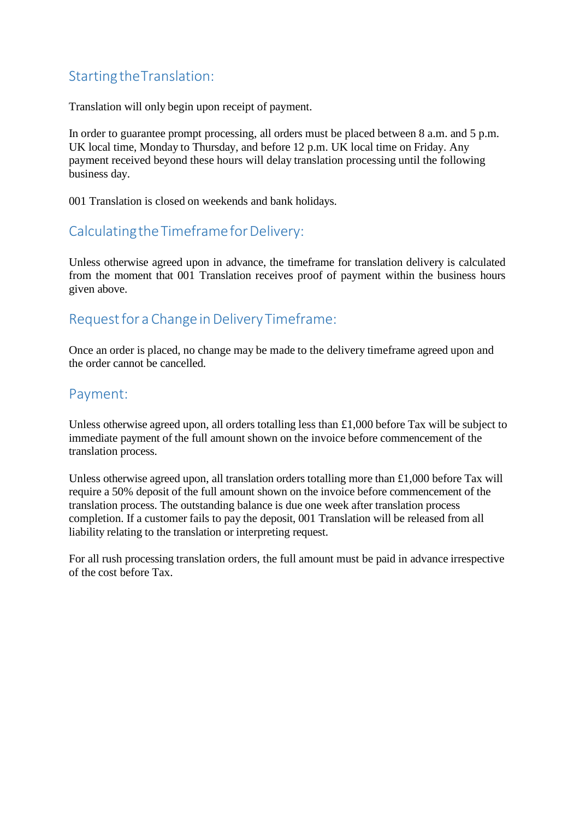## <span id="page-3-0"></span>StartingtheTranslation:

Translation will only begin upon receipt of payment.

In order to guarantee prompt processing, all orders must be placed between 8 a.m. and 5 p.m. UK local time, Monday to Thursday, and before 12 p.m. UK local time on Friday. Any payment received beyond these hours will delay translation processing until the following business day.

001 Translation is closed on weekends and bank holidays.

## <span id="page-3-1"></span>Calculating the Timeframe for Delivery:

Unless otherwise agreed upon in advance, the timeframe for translation delivery is calculated from the moment that 001 Translation receives proof of payment within the business hours given above.

## <span id="page-3-2"></span>Request for a Change in Delivery Timeframe:

Once an order is placed, no change may be made to the delivery timeframe agreed upon and the order cannot be cancelled.

#### <span id="page-3-3"></span>Payment:

Unless otherwise agreed upon, all orders totalling less than £1,000 before Tax will be subject to immediate payment of the full amount shown on the invoice before commencement of the translation process.

Unless otherwise agreed upon, all translation orders totalling more than £1,000 before Tax will require a 50% deposit of the full amount shown on the invoice before commencement of the translation process. The outstanding balance is due one week after translation process completion. If a customer fails to pay the deposit, 001 Translation will be released from all liability relating to the translation or interpreting request.

For all rush processing translation orders, the full amount must be paid in advance irrespective of the cost before Tax.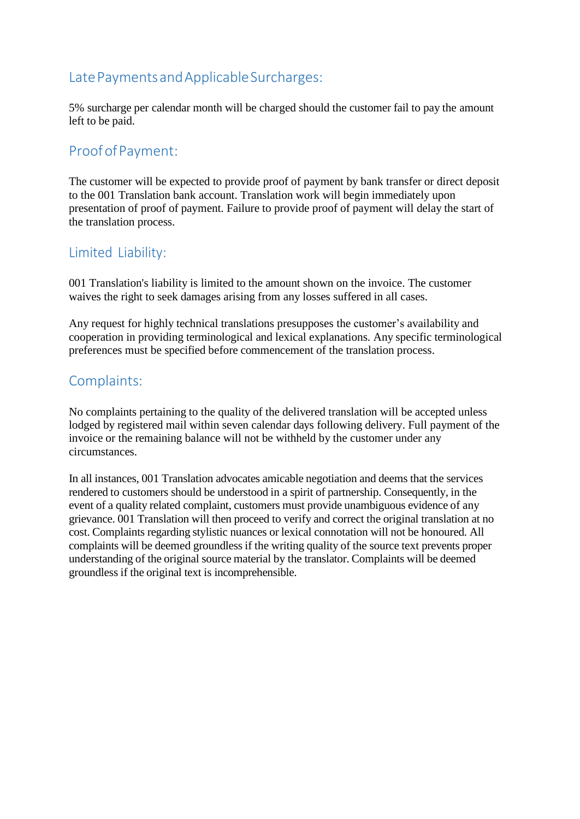## <span id="page-4-0"></span>Late Payments and Applicable Surcharges:

5% surcharge per calendar month will be charged should the customer fail to pay the amount left to be paid.

#### <span id="page-4-1"></span>Proof of Payment:

The customer will be expected to provide proof of payment by bank transfer or direct deposit to the 001 Translation bank account. Translation work will begin immediately upon presentation of proof of payment. Failure to provide proof of payment will delay the start of the translation process.

#### <span id="page-4-2"></span>Limited Liability:

001 Translation's liability is limited to the amount shown on the invoice. The customer waives the right to seek damages arising from any losses suffered in all cases.

Any request for highly technical translations presupposes the customer's availability and cooperation in providing terminological and lexical explanations. Any specific terminological preferences must be specified before commencement of the translation process.

#### <span id="page-4-3"></span>Complaints:

No complaints pertaining to the quality of the delivered translation will be accepted unless lodged by registered mail within seven calendar days following delivery. Full payment of the invoice or the remaining balance will not be withheld by the customer under any circumstances.

In all instances, 001 Translation advocates amicable negotiation and deems that the services rendered to customers should be understood in a spirit of partnership. Consequently, in the event of a quality related complaint, customers must provide unambiguous evidence of any grievance. 001 Translation will then proceed to verify and correct the original translation at no cost. Complaints regarding stylistic nuances or lexical connotation will not be honoured. All complaints will be deemed groundless if the writing quality of the source text prevents proper understanding of the original source material by the translator. Complaints will be deemed groundless if the original text is incomprehensible.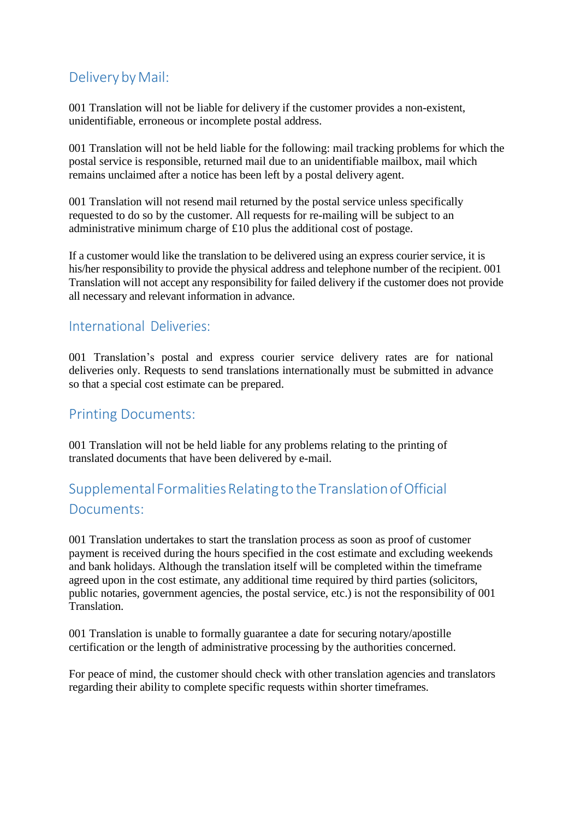## <span id="page-5-0"></span>Delivery by Mail:

001 Translation will not be liable for delivery if the customer provides a non-existent, unidentifiable, erroneous or incomplete postal address.

001 Translation will not be held liable for the following: mail tracking problems for which the postal service is responsible, returned mail due to an unidentifiable mailbox, mail which remains unclaimed after a notice has been left by a postal delivery agent.

001 Translation will not resend mail returned by the postal service unless specifically requested to do so by the customer. All requests for re-mailing will be subject to an administrative minimum charge of £10 plus the additional cost of postage.

If a customer would like the translation to be delivered using an express courier service, it is his/her responsibility to provide the physical address and telephone number of the recipient. 001 Translation will not accept any responsibility for failed delivery if the customer does not provide all necessary and relevant information in advance.

#### <span id="page-5-1"></span>International Deliveries:

001 Translation's postal and express courier service delivery rates are for national deliveries only. Requests to send translations internationally must be submitted in advance so that a special cost estimate can be prepared.

#### <span id="page-5-2"></span>Printing Documents:

001 Translation will not be held liable for any problems relating to the printing of translated documents that have been delivered by e-mail.

# <span id="page-5-3"></span>Supplemental FormalitiesRelatingto the TranslationofOfficial Documents:

001 Translation undertakes to start the translation process as soon as proof of customer payment is received during the hours specified in the cost estimate and excluding weekends and bank holidays. Although the translation itself will be completed within the timeframe agreed upon in the cost estimate, any additional time required by third parties (solicitors, public notaries, government agencies, the postal service, etc.) is not the responsibility of 001 Translation.

001 Translation is unable to formally guarantee a date for securing notary/apostille certification or the length of administrative processing by the authorities concerned.

For peace of mind, the customer should check with other translation agencies and translators regarding their ability to complete specific requests within shorter timeframes.